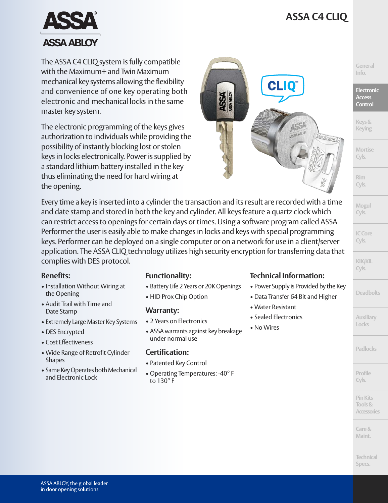**ASSA C4 CLIQ**

**Martinon** 



The ASSA C4 CLIQ system is fully compatible with the Maximum+ and Twin Maximum mechanical key systems allowing the flexibility and convenience of one key operating both electronic and mechanical locks in the same master key system.

The electronic programming of the keys gives authorization to individuals while providing the possibility of instantly blocking lost or stolen keys in locks electronically. Power is supplied by a standard lithium battery installed in the key thus eliminating the need for hard wiring at the opening.

Every time a key is inserted into a cylinder the transaction and its result are recorded with a time and date stamp and stored in both the key and cylinder. All keys feature a quartz clock which can restrict access to openings for certain days or times. Using a software program called ASSA Performer the user is easily able to make changes in locks and keys with special programming keys. Performer can be deployed on a single computer or on a network for use in a client/server application. The ASSA CLIQ technology utilizes high security encryption for transferring data that complies with DES protocol.

## **Benefits:**

- Installation Without Wiring at the Opening
- Audit Trail with Time and Date Stamp
- Extremely Large Master Key Systems
- DES Encrypted
- Cost Effectiveness
- Wide Range of Retrofit Cylinder **Shapes**
- Same Key Operates both Mechanical and Electronic Lock

## **Functionality:**

- Battery Life 2 Years or 20K Openings
- HID Prox Chip Option

#### **Warranty:**

- 2 Years on Electronics
- ASSA warrants against key breakage under normal use

## **Certification:**

- Patented Key Control
- Operating Temperatures: -40° F to 130° F

# **Technical Information:**

CLIC

- Power Supply is Provided by the Key
- Data Transfer 64 Bit and Higher
- Water Resistant
- Sealed Electronics
- No Wires

**General Info.**

**Electronic Access Control**

**Keys & Keying**

**Mortise Cyls.**

**Rim Cyls.**

**Mogul Cyls.**

**IC Core Cyls.**

> **KIK/KIL Cyls.**

**Deadbolts**

**Auxiliary Locks**

**Padlocks**

**Profile Cyls.**

**Pin Kits Tools & Accessories**

**Care & Maint.**

**Technical Specs.**